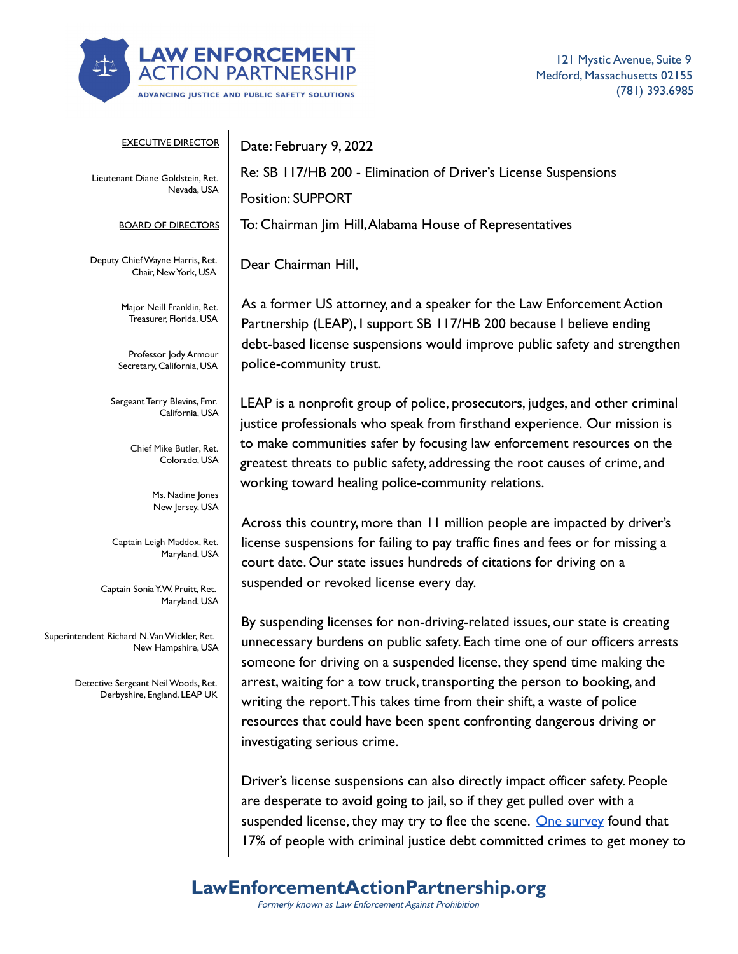

121 Mystic Avenue, Suite 9 Medford, Massachusetts 02155 (781) 393.6985

| <b>EXECUTIVE DIRECTOR</b>                                           | Date: February 9, 2022                                                                                                                                                                                                                                                                                           |
|---------------------------------------------------------------------|------------------------------------------------------------------------------------------------------------------------------------------------------------------------------------------------------------------------------------------------------------------------------------------------------------------|
| Lieutenant Diane Goldstein, Ret.<br>Nevada, USA                     | Re: SB 117/HB 200 - Elimination of Driver's License Suspensions                                                                                                                                                                                                                                                  |
|                                                                     | <b>Position: SUPPORT</b>                                                                                                                                                                                                                                                                                         |
| <b>BOARD OF DIRECTORS</b>                                           | To: Chairman Jim Hill, Alabama House of Representatives                                                                                                                                                                                                                                                          |
| Deputy Chief Wayne Harris, Ret.<br>Chair, New York, USA             | Dear Chairman Hill,                                                                                                                                                                                                                                                                                              |
| Major Neill Franklin, Ret.<br>Treasurer, Florida, USA               | As a former US attorney, and a speaker for the Law Enforcement Action<br>Partnership (LEAP), I support SB 117/HB 200 because I believe ending                                                                                                                                                                    |
| Professor Jody Armour<br>Secretary, California, USA                 | debt-based license suspensions would improve public safety and strengthen<br>police-community trust.                                                                                                                                                                                                             |
| Sergeant Terry Blevins, Fmr.<br>California, USA                     | LEAP is a nonprofit group of police, prosecutors, judges, and other criminal<br>justice professionals who speak from firsthand experience. Our mission is                                                                                                                                                        |
| Chief Mike Butler, Ret.<br>Colorado, USA                            | to make communities safer by focusing law enforcement resources on the<br>greatest threats to public safety, addressing the root causes of crime, and                                                                                                                                                            |
| Ms. Nadine Jones<br>New Jersey, USA                                 | working toward healing police-community relations.                                                                                                                                                                                                                                                               |
| Captain Leigh Maddox, Ret.<br>Maryland, USA                         | Across this country, more than 11 million people are impacted by driver's<br>license suspensions for failing to pay traffic fines and fees or for missing a<br>court date. Our state issues hundreds of citations for driving on a                                                                               |
| Captain Sonia Y.W. Pruitt, Ret.<br>Maryland, USA                    | suspended or revoked license every day.                                                                                                                                                                                                                                                                          |
| Superintendent Richard N. Van Wickler, Ret.<br>New Hampshire, USA   | By suspending licenses for non-driving-related issues, our state is creating<br>unnecessary burdens on public safety. Each time one of our officers arrests<br>someone for driving on a suspended license, they spend time making the                                                                            |
| Detective Sergeant Neil Woods, Ret.<br>Derbyshire, England, LEAP UK | arrest, waiting for a tow truck, transporting the person to booking, and<br>writing the report. This takes time from their shift, a waste of police<br>resources that could have been spent confronting dangerous driving or<br>investigating serious crime.                                                     |
|                                                                     | Driver's license suspensions can also directly impact officer safety. People<br>are desperate to avoid going to jail, so if they get pulled over with a<br>suspended license, they may try to flee the scene. One survey found that<br>17% of people with criminal justice debt committed crimes to get money to |

**LawEnforcementActionPartnership.org**

Formerly known as Law Enforcement Against Prohibition